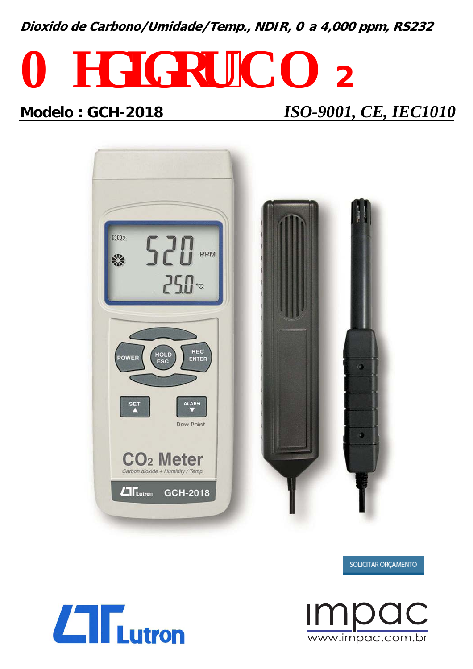**Dioxido de Carbono/Umidade/Temp., NDIR, 0 <sup>a</sup> 4,000 ppm, RS232**

# $O$   $gf$   $k$   $qt$   $°C$  $0$   $z$ **Modelo : GCH-2018** *ISO-9001, CE, IEC1010*



SOLICITAR ORÇAMENTO